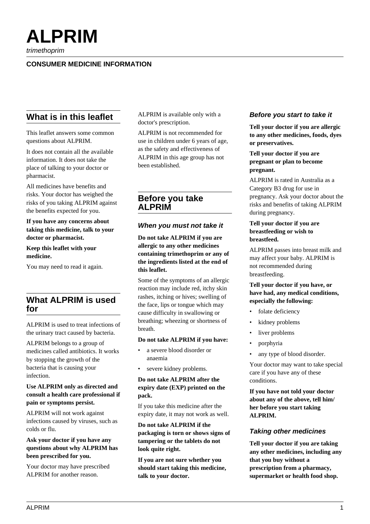trimethoprim

## **CONSUMER MEDICINE INFORMATION**

# **What is in this leaflet**

This leaflet answers some common questions about ALPRIM.

It does not contain all the available information. It does not take the place of talking to your doctor or pharmacist.

All medicines have benefits and risks. Your doctor has weighed the risks of you taking ALPRIM against the benefits expected for you.

**If you have any concerns about taking this medicine, talk to your doctor or pharmacist.**

**Keep this leaflet with your medicine.**

You may need to read it again.

# **What ALPRIM is used for**

ALPRIM is used to treat infections of the urinary tract caused by bacteria.

ALPRIM belongs to a group of medicines called antibiotics. It works by stopping the growth of the bacteria that is causing your infection.

#### **Use ALPRIM only as directed and consult a health care professional if pain or symptoms persist.**

ALPRIM will not work against infections caused by viruses, such as colds or flu.

#### **Ask your doctor if you have any questions about why ALPRIM has been prescribed for you.**

Your doctor may have prescribed ALPRIM for another reason.

ALPRIM is available only with a doctor's prescription.

ALPRIM is not recommended for use in children under 6 years of age, as the safety and effectiveness of ALPRIM in this age group has not been established.

# **Before you take ALPRIM**

## **When you must not take it**

**Do not take ALPRIM if you are allergic to any other medicines containing trimethoprim or any of the ingredients listed at the end of this leaflet.**

Some of the symptoms of an allergic reaction may include red, itchy skin rashes, itching or hives; swelling of the face, lips or tongue which may cause difficulty in swallowing or breathing; wheezing or shortness of breath.

#### **Do not take ALPRIM if you have:**

- a severe blood disorder or anaemia
- severe kidney problems.

#### **Do not take ALPRIM after the expiry date (EXP) printed on the pack.**

If you take this medicine after the expiry date, it may not work as well.

**Do not take ALPRIM if the packaging is torn or shows signs of tampering or the tablets do not look quite right.**

**If you are not sure whether you should start taking this medicine, talk to your doctor.**

### **Before you start to take it**

**Tell your doctor if you are allergic to any other medicines, foods, dyes or preservatives.**

#### **Tell your doctor if you are pregnant or plan to become pregnant.**

ALPRIM is rated in Australia as a Category B3 drug for use in pregnancy. Ask your doctor about the risks and benefits of taking ALPRIM during pregnancy.

#### **Tell your doctor if you are breastfeeding or wish to breastfeed.**

ALPRIM passes into breast milk and may affect your baby. ALPRIM is not recommended during breastfeeding.

#### **Tell your doctor if you have, or have had, any medical conditions, especially the following:**

- folate deficiency
- kidney problems
- liver problems
- porphyria
- any type of blood disorder.

Your doctor may want to take special care if you have any of these conditions.

**If you have not told your doctor about any of the above, tell him/ her before you start taking ALPRIM.**

## **Taking other medicines**

**Tell your doctor if you are taking any other medicines, including any that you buy without a prescription from a pharmacy, supermarket or health food shop.**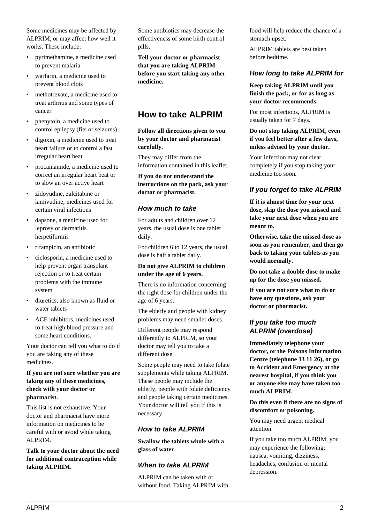Some medicines may be affected by ALPRIM, or may affect how well it works. These include:

- pyrimethamine, a medicine used to prevent malaria
- warfarin, a medicine used to prevent blood clots
- methotrexate, a medicine used to treat arthritis and some types of cancer
- phenytoin, a medicine used to control epilepsy (fits or seizures)
- digoxin, a medicine used to treat heart failure or to control a fast irregular heart beat
- procainamide, a medicine used to correct an irregular heart beat or to slow an over active heart
- zidovudine, zalcitabine or lamivudine; medicines used for certain viral infections
- dapsone, a medicine used for leprosy or dermatitis herpetiformis
- rifampicin, an antibiotic
- ciclosporin, a medicine used to help prevent organ transplant rejection or to treat certain problems with the immune system
- diuretics, also known as fluid or water tablets
- ACE inhibitors, medicines used to treat high blood pressure and some heart conditions.

Your doctor can tell you what to do if you are taking any of these medicines.

### **If you are not sure whether you are taking any of these medicines, check with your doctor or pharmacist.**

This list is not exhaustive. Your doctor and pharmacist have more information on medicines to be careful with or avoid while taking ALPRIM.

**Talk to your doctor about the need for additional contraception while taking ALPRIM.**

Some antibiotics may decrease the effectiveness of some birth control pills.

**Tell your doctor or pharmacist that you are taking ALPRIM before you start taking any other medicine.**

# **How to take ALPRIM**

**Follow all directions given to you by your doctor and pharmacist carefully.**

They may differ from the information contained in this leaflet.

**If you do not understand the instructions on the pack, ask your doctor or pharmacist.**

## **How much to take**

For adults and children over 12 years, the usual dose is one tablet daily.

For children 6 to 12 years, the usual dose is half a tablet daily.

#### **Do not give ALPRIM to children under the age of 6 years.**

There is no information concerning the right dose for children under the age of 6 years.

The elderly and people with kidney problems may need smaller doses.

Different people may respond differently to ALPRIM, so your doctor may tell you to take a different dose.

Some people may need to take folate supplements while taking ALPRIM. These people may include the elderly, people with folate deficiency and people taking certain medicines. Your doctor will tell you if this is necessary.

## **How to take ALPRIM**

**Swallow the tablets whole with a glass of water.**

## **When to take ALPRIM**

ALPRIM can be taken with or without food. Taking ALPRIM with food will help reduce the chance of a stomach upset.

ALPRIM tablets are best taken before bedtime.

## **How long to take ALPRIM for**

**Keep taking ALPRIM until you finish the pack, or for as long as your doctor recommends.**

For most infections, ALPRIM is usually taken for 7 days.

#### **Do not stop taking ALPRIM, even if you feel better after a few days, unless advised by your doctor.**

Your infection may not clear completely if you stop taking your medicine too soon.

## **If you forget to take ALPRIM**

**If it is almost time for your next dose, skip the dose you missed and take your next dose when you are meant to.**

**Otherwise, take the missed dose as soon as you remember, and then go back to taking your tablets as you would normally.**

**Do not take a double dose to make up for the dose you missed.**

**If you are not sure what to do or have any questions, ask your doctor or pharmacist.**

## **If you take too much ALPRIM (overdose)**

**Immediately telephone your doctor, or the Poisons Information Centre (telephone 13 11 26), or go to Accident and Emergency at the nearest hospital, if you think you or anyone else may have taken too much ALPRIM.**

**Do this even if there are no signs of discomfort or poisoning.**

You may need urgent medical attention.

If you take too much ALPRIM, you may experience the following: nausea, vomiting, dizziness, headaches, confusion or mental depression.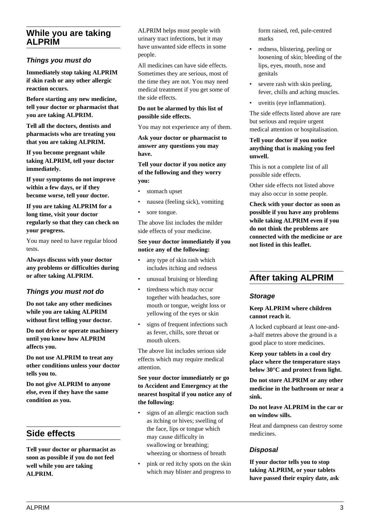# **While you are taking ALPRIM**

## **Things you must do**

**Immediately stop taking ALPRIM if skin rash or any other allergic reaction occurs.**

**Before starting any new medicine, tell your doctor or pharmacist that you are taking ALPRIM.**

**Tell all the doctors, dentists and pharmacists who are treating you that you are taking ALPRIM.**

**If you become pregnant while taking ALPRIM, tell your doctor immediately.**

**If your symptoms do not improve within a few days, or if they become worse, tell your doctor.**

**If you are taking ALPRIM for a long time, visit your doctor regularly so that they can check on your progress.**

You may need to have regular blood tests.

**Always discuss with your doctor any problems or difficulties during or after taking ALPRIM.**

## **Things you must not do**

**Do not take any other medicines while you are taking ALPRIM without first telling your doctor.**

**Do not drive or operate machinery until you know how ALPRIM affects you.**

**Do not use ALPRIM to treat any other conditions unless your doctor tells you to.**

**Do not give ALPRIM to anyone else, even if they have the same condition as you.**

# **Side effects**

**Tell your doctor or pharmacist as soon as possible if you do not feel well while you are taking ALPRIM.**

ALPRIM helps most people with urinary tract infections, but it may have unwanted side effects in some people.

All medicines can have side effects. Sometimes they are serious, most of the time they are not. You may need medical treatment if you get some of the side effects.

#### **Do not be alarmed by this list of possible side effects.**

You may not experience any of them.

**Ask your doctor or pharmacist to answer any questions you may have.**

#### **Tell your doctor if you notice any of the following and they worry you:**

- stomach upset
- nausea (feeling sick), vomiting
- sore tongue.

The above list includes the milder side effects of your medicine.

#### **See your doctor immediately if you notice any of the following:**

- any type of skin rash which includes itching and redness
- unusual bruising or bleeding
- tiredness which may occur together with headaches, sore mouth or tongue, weight loss or yellowing of the eyes or skin
- signs of frequent infections such as fever, chills, sore throat or mouth ulcers.

The above list includes serious side effects which may require medical attention.

**See your doctor immediately or go to Accident and Emergency at the nearest hospital if you notice any of the following:**

- signs of an allergic reaction such as itching or hives; swelling of the face, lips or tongue which may cause difficulty in swallowing or breathing; wheezing or shortness of breath
- pink or red itchy spots on the skin which may blister and progress to

form raised, red, pale-centred marks

- redness, blistering, peeling or loosening of skin; bleeding of the lips, eyes, mouth, nose and genitals
- severe rash with skin peeling, fever, chills and aching muscles.
- uveitis (eye inflammation).

The side effects listed above are rare but serious and require urgent medical attention or hospitalisation.

### **Tell your doctor if you notice anything that is making you feel unwell.**

This is not a complete list of all possible side effects.

Other side effects not listed above may also occur in some people.

**Check with your doctor as soon as possible if you have any problems while taking ALPRIM even if you do not think the problems are connected with the medicine or are not listed in this leaflet.**

# **After taking ALPRIM**

## **Storage**

### **Keep ALPRIM where children cannot reach it.**

A locked cupboard at least one-anda-half metres above the ground is a good place to store medicines.

**Keep your tablets in a cool dry place where the temperature stays below 30°C and protect from light.**

**Do not store ALPRIM or any other medicine in the bathroom or near a sink.**

**Do not leave ALPRIM in the car or on window sills.**

Heat and dampness can destroy some medicines.

## **Disposal**

**If your doctor tells you to stop taking ALPRIM, or your tablets have passed their expiry date, ask**